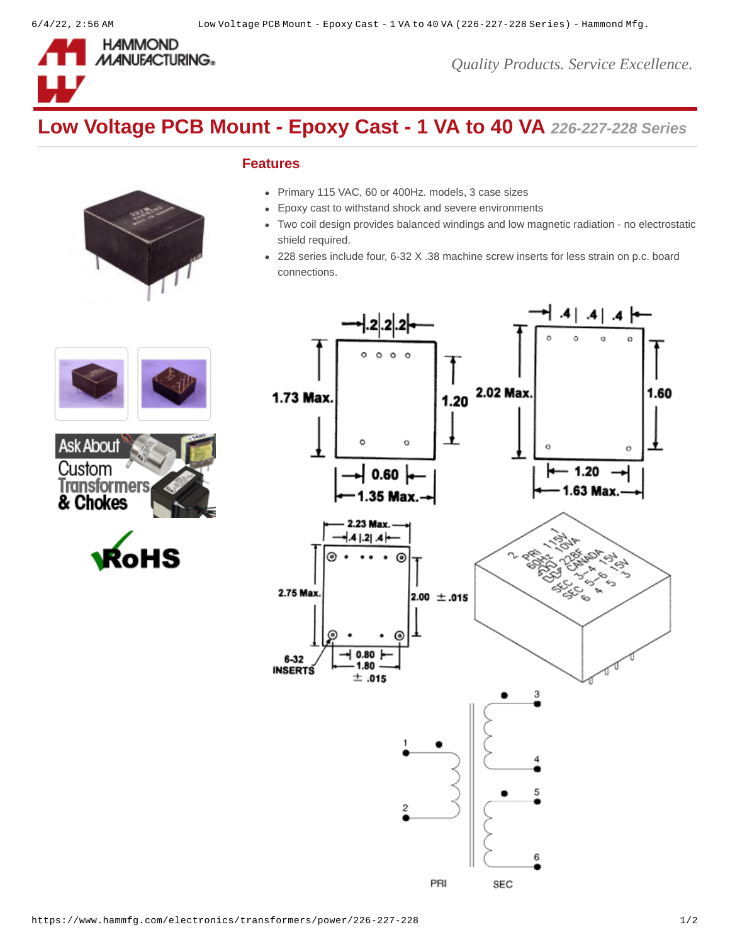

*Quality Products. Service Excellence.*

# **Low Voltage PCB Mount - Epoxy Cast - 1 VA to 40 VA** *226-227-228 Series*

## **Features**

- Primary 115 VAC, 60 or 400Hz. models, 3 case sizes
- Epoxy cast to withstand shock and severe environments
- Two coil design provides balanced windings and low magnetic radiation no electrostatic shield required.
- 228 series include four, 6-32 X .38 machine screw inserts for less strain on p.c. board connections.